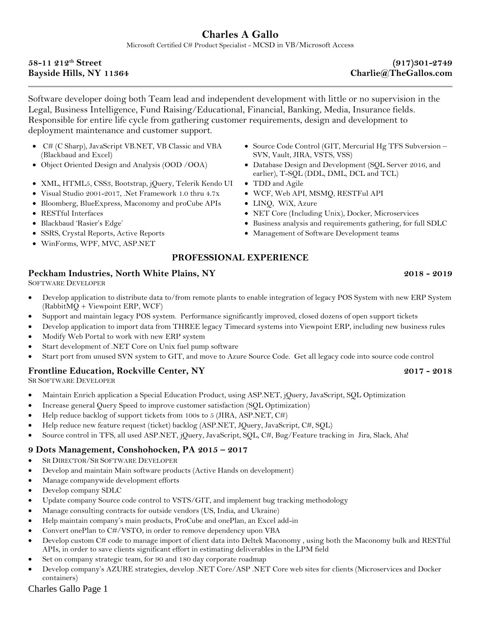# **Charles A Gallo**

Microsoft Certified C# Product Specialist - MCSD in VB/Microsoft Access

### **58-11 212th Street (917)301-2749 Bayside Hills, NY 11364 Charlie@TheGallos.com**

Software developer doing both Team lead and independent development with little or no supervision in the Legal, Business Intelligence, Fund Raising/Educational, Financial, Banking, Media, Insurance fields. Responsible for entire life cycle from gathering customer requirements, design and development to deployment maintenance and customer support.

- C# (C Sharp), JavaScript VB.NET, VB Classic and VBA (Blackbaud and Excel)
- 
- XML, HTML5, CSS3, Bootstrap, jQuery, Telerik Kendo UI TDD and Agile
- Visual Studio 2001-2017, .Net Framework 1.0 thru 4.7x WCF, Web API, MSMQ, RESTFul API
- Bloomberg, BlueExpress, Maconomy and proCube APIs LINQ, WiX, Azure
- 
- 
- 
- WinForms, WPF, MVC, ASP.NET
- Source Code Control (GIT, Mercurial Hg TFS Subversion SVN, Vault, JIRA, VSTS, VSS)
- Object Oriented Design and Analysis (OOD /OOA) Database Design and Development (SQL Server 2016, and earlier), T-SQL (DDL, DML, DCL and TCL)
	-
	-
	-
- RESTful Interfaces NET Core (Including Unix), Docker, Microservices
- Blackbaud 'Rasier's Edge' Business analysis and requirements gathering, for full SDLC
- SSRS, Crystal Reports, Active Reports Management of Software Development teams

# **PROFESSIONAL EXPERIENCE**

# **Peckham Industries, North White Plains, NY 2018 - 2019**

SOFTWARE DEVELOPER

- Develop application to distribute data to/from remote plants to enable integration of legacy POS System with new ERP System (RabbitMQ + Viewpoint ERP, WCF)
- Support and maintain legacy POS system. Performance significantly improved, closed dozens of open support tickets
- Develop application to import data from THREE legacy Timecard systems into Viewpoint ERP, including new business rules
- Modify Web Portal to work with new ERP system
- Start development of .NET Core on Unix fuel pump software
- Start port from unused SVN system to GIT, and move to Azure Source Code. Get all legacy code into source code control

### **Frontline Education, Rockville Center, NY 2017 - 2018**

SR SOFTWARE DEVELOPER

- Maintain Enrich application a Special Education Product, using ASP.NET, jQuery, JavaScript, SQL Optimization
- Increase general Query Speed to improve customer satisfaction (SQL Optimization)
- Help reduce backlog of support tickets from 100s to 5 (JIRA, ASP.NET, C#)
- Help reduce new feature request (ticket) backlog (ASP.NET, JQuery, JavaScript, C#, SQL)
- Source control in TFS, all used ASP.NET, jQuery, JavaScript, SQL, C#, Bug/Feature tracking in Jira, Slack, Aha!

# **9 Dots Management, Conshohocken, PA 2015 – 2017**

- SR DIRECTOR/SR SOFTWARE DEVELOPER
- Develop and maintain Main software products (Active Hands on development)
- Manage companywide development efforts
- Develop company SDLC
- Update company Source code control to VSTS/GIT, and implement bug tracking methodology
- Manage consulting contracts for outside vendors (US, India, and Ukraine)
- Help maintain company's main products, ProCube and onePlan, an Excel add-in
- Convert onePlan to C#/VSTO, in order to remove dependency upon VBA
- Develop custom C# code to manage import of client data into Deltek Maconomy , using both the Maconomy bulk and RESTful APIs, in order to save clients significant effort in estimating deliverables in the LPM field
- Set on company strategic team, for 90 and 180 day corporate roadmap
- Develop company's AZURE strategies, develop .NET Core/ASP .NET Core web sites for clients (Microservices and Docker containers)

# Charles Gallo Page 1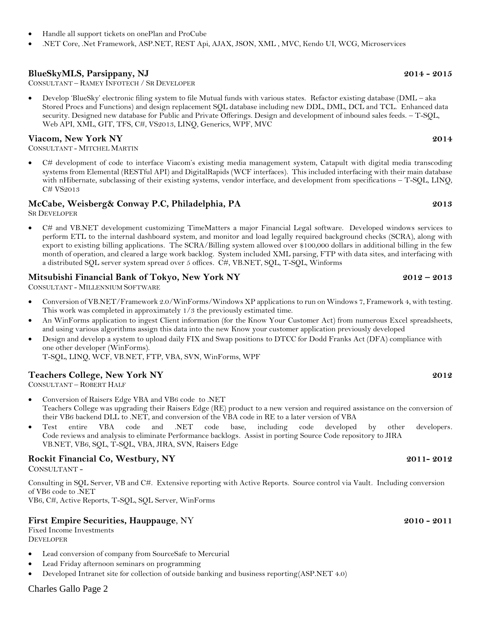- Handle all support tickets on onePlan and ProCube
- .NET Core, .Net Framework, ASP.NET, REST Api, AJAX, JSON, XML , MVC, Kendo UI, WCG, Microservices

# **BlueSkyMLS, Parsippany, NJ 2014 - 2015**

CONSULTANT – RAMEY INFOTECH / SR DEVELOPER

• Develop 'BlueSky' electronic filing system to file Mutual funds with various states. Refactor existing database (DML – aka Stored Procs and Functions) and design replacement SQL database including new DDL, DML, DCL and TCL. Enhanced data security. Designed new database for Public and Private Offerings. Design and development of inbound sales feeds. – T-SQL, Web API, XML, GIT, TFS, C#, VS2013, LINQ, Generics, WPF, MVC

# **Viacom, New York NY 2014**

CONSULTANT - MITCHEL MARTIN

• C# development of code to interface Viacom's existing media management system, Catapult with digital media transcoding systems from Elemental (RESTful API) and DigitalRapids (WCF interfaces). This included interfacing with their main database with nHibernate, subclassing of their existing systems, vendor interface, and development from specifications – T-SQL, LINQ, C# VS2013

# **McCabe, Weisberg& Conway P.C, Philadelphia, PA 2013**

SR DEVELOPER

• C# and VB.NET development customizing TimeMatters a major Financial Legal software. Developed windows services to perform ETL to the internal dashboard system, and monitor and load legally required background checks (SCRA), along with export to existing billing applications. The SCRA/Billing system allowed over \$100,000 dollars in additional billing in the few month of operation, and cleared a large work backlog. System included XML parsing, FTP with data sites, and interfacing with a distributed SQL server system spread over 5 offices. C#, VB.NET, SQL, T-SQL, Winforms

# **Mitsubishi Financial Bank of Tokyo, New York NY 2012 – 2013**

CONSULTANT - MILLENNIUM SOFTWARE

- Conversion of VB.NET/Framework 2.0/WinForms/Windows XP applications to run on Windows 7, Framework 4, with testing. This work was completed in approximately 1/3 the previously estimated time.
- An WinForms application to ingest Client information (for the Know Your Customer Act) from numerous Excel spreadsheets, and using various algorithms assign this data into the new Know your customer application previously developed
- Design and develop a system to upload daily FIX and Swap positions to DTCC for Dodd Franks Act (DFA) compliance with one other developer (WinForms). T-SQL, LINQ, WCF, VB.NET, FTP, VBA, SVN, WinForms, WPF

### **Teachers College, New York NY 2012**

CONSULTANT – ROBERT HALF

- Conversion of Raisers Edge VBA and VB6 code to .NET Teachers College was upgrading their Raisers Edge (RE) product to a new version and required assistance on the conversion of their VB6 backend DLL to .NET, and conversion of the VBA code in RE to a later version of VBA
- Test entire VBA code and .NET code base, including code developed by other developers. Code reviews and analysis to eliminate Performance backlogs. Assist in porting Source Code repository to JIRA VB.NET, VB6, SQL, T-SQL, VBA, JIRA, SVN, Raisers Edge

# **Rockit Financial Co, Westbury, NY 2011- 2012**

CONSULTANT -

Consulting in SQL Server, VB and C#. Extensive reporting with Active Reports. Source control via Vault. Including conversion of VB6 code to .NET

VB6, C#, Active Reports, T-SQL, SQL Server, WinForms

### **First Empire Securities, Hauppauge**, NY **2010 - 2011**

Fixed Income Investments DEVELOPER

- Lead conversion of company from SourceSafe to Mercurial
- Lead Friday afternoon seminars on programming
- Developed Intranet site for collection of outside banking and business reporting(ASP.NET 4.0)